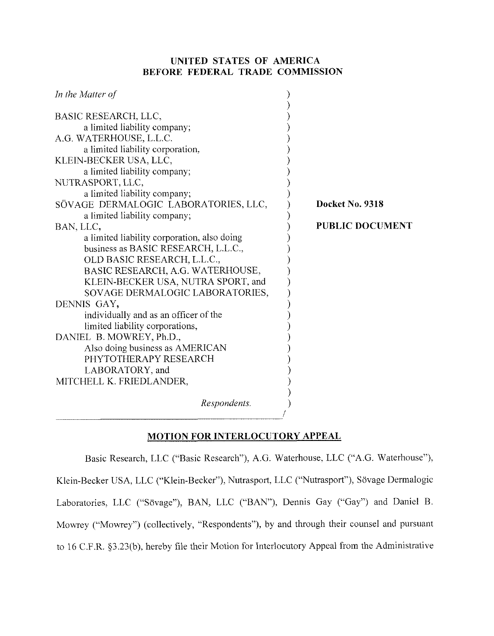# **UNITED STATES OF AMERICA BEFORE FEDERAL TRADE COMMISSION**

| In the Matter of                            |                        |
|---------------------------------------------|------------------------|
| BASIC RESEARCH, LLC,                        |                        |
|                                             |                        |
| a limited liability company;                |                        |
| A.G. WATERHOUSE, L.L.C.                     |                        |
| a limited liability corporation,            |                        |
| KLEIN-BECKER USA, LLC,                      |                        |
| a limited liability company;                |                        |
| NUTRASPORT, LLC,                            |                        |
| a limited liability company;                |                        |
| SÖVAGE DERMALOGIC LABORATORIES, LLC,        | Docket No. 9318        |
| a limited liability company;                |                        |
| BAN, LLC,                                   | <b>PUBLIC DOCUMENT</b> |
| a limited liability corporation, also doing |                        |
| business as BASIC RESEARCH, L.L.C.,         |                        |
| OLD BASIC RESEARCH, L.L.C.,                 |                        |
| BASIC RESEARCH, A.G. WATERHOUSE,            |                        |
| KLEIN-BECKER USA, NUTRA SPORT, and          |                        |
| SOVAGE DERMALOGIC LABORATORIES,             |                        |
| DENNIS GAY,                                 |                        |
| individually and as an officer of the       |                        |
| limited liability corporations,             |                        |
| DANIEL B. MOWREY, Ph.D.,                    |                        |
| Also doing business as AMERICAN             |                        |
| PHYTOTHERAPY RESEARCH                       |                        |
| LABORATORY, and                             |                        |
| MITCHELL K. FRIEDLANDER,                    |                        |
|                                             |                        |
| Respondents.                                |                        |
|                                             |                        |
|                                             |                        |

# **MOTION FOR INTERLOCUTORY APPEAL**

Basic Research, LLC ("Basic Research"), A.G. Waterhouse, LLC ("A.G. Waterhouse"), Klein-Becker USA, LLC ("Klein-Becker"), Nutrasport, LLC ("Nutrasport"), Sovage Dermalogic Laboratories, LLC ("Sövage"), BAN, LLC ("BAN"), Dennis Gay ("Gay") and Daniel B. Mowrey ("Mowrey") (collectively, "Respondents"), by and through their counsel and pursuant to 16 C.F.R. §3.23(b), hereby file their Motion for Interlocutory Appeal from the Administrative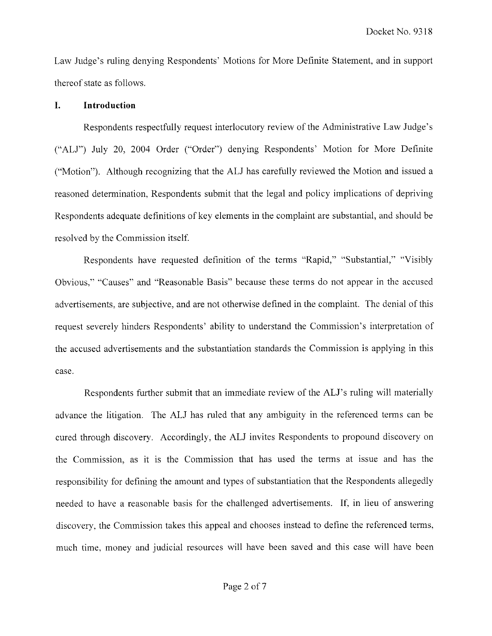Law Judge's ruling denying Respondents' Motions for More Definite Statement, and in support thereof state as follows.

### I. **Introduction**

Respondents respectfully request interlocutory review of the Administrative Law Judge's ("ALJ") July 20, 2004 Order ("Order") denying Respondents' Motion for More Definite ("Motion"). Although recognizing that the ALJ has carefully reviewed the Motion and issued a reasoned determination, Respondents submit that the legal and policy implications of depriving Respondents adequate definitions of key elements in the complaint are substantial, and should he resolved by the Commission itself.

Respondents have requested definition of the terms "Rapid," "Substantial," "Visibly Obvious," "Causes" and "Reasonable Basis" because these terms do not appear in the accused advertisements, are subjective, and are not otherwise defined in the complaint. The denial of this request severely hinders Respondents' ability to understand the Commission's interpretation of the accused advertisements and the substantiation standards the Commission is applying in this case.

Respondents further submit that an immediate review of the ALJ's ruling will materially advance the litigation. The ALJ has ruled that any ambiguity in the referenced terms can be cured through discovery. Accordingly, the ALJ invites Respondents to propound discovery on the Commission, as it is the Commission that has used the terms at issue and has the responsibility for defining the amount and types of substantiation that the Respondents allegedly needed to have a reasonable basis for the challenged advertisements. If, in lieu of answering discovery, the Commission takes this appeal and chooses instead to define the referenced terms, much time, money and judicial resources will have been saved and this case will have been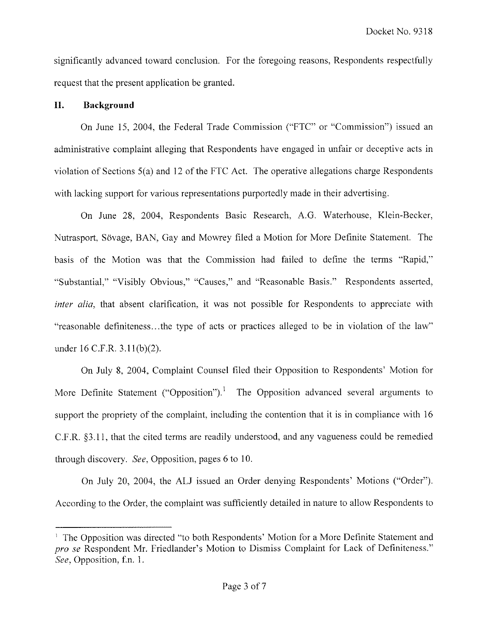significantly advanced toward conclusion. For the foregoing reasons, Respondents respectfully request that the present application be granted.

# **11. Background**

On June 15, 2004, the Federal Trade Commission ("FTC" or "Commission") issued an administrative complaint alleging that Respondents have engaged in unfair or deceptive acts in violation of Sections 5(a) and 12 of the FTC Act. The operative allegations charge Respondents with lacking support for various representations purportedly made in their advertising.

On June 28, 2004, Respondents Basic Research, A.G. Waterhouse, Klein-Becker, Nutrasport, Sovage, BAN, Gay and Mowrey filed a Motion for More Definite Statement. The basis of the Motion was that the Commission had failed to define the terms "Rapid." "Substantial," "Visibly Obvious." "Causes," and "Reasonable Basis." Respondents asserted, inter alia, that absent clarification, it was not possible for Respondents to appreciate with "reasonable definiteness ... the type of acts or practices alleged to be in violation of the law" under 16 C.F.R. 3.1 I(b)(2).

On July 8, 2004, Complaint Counsel filed their Opposition to Respondents' Motion for More Definite Statement ("Opposition").<sup>1</sup> The Opposition advanced several arguments to support the propriety of the complaint, including the contention that it is in compliance with 16 C.F.R. 53.1 1, that the cited terms are readily understood, and any vagueness could be remedied through discovery. See, Opposition, pages 6 to 10.

On July 20, 2004, the ALJ issued an Order denying Respondents' Motions ("Order"). According to the Order, the complaint was sufficiently detailed in nature to allow Respondents to

<sup>&#</sup>x27; The Opposition was directed "to both Respondents' Motion for a More Definite Statement and pro se Respondent Mr. Friedlander's Motion to Dismiss Complaint for Lack of Definiteness." See, Opposition, f.n. 1.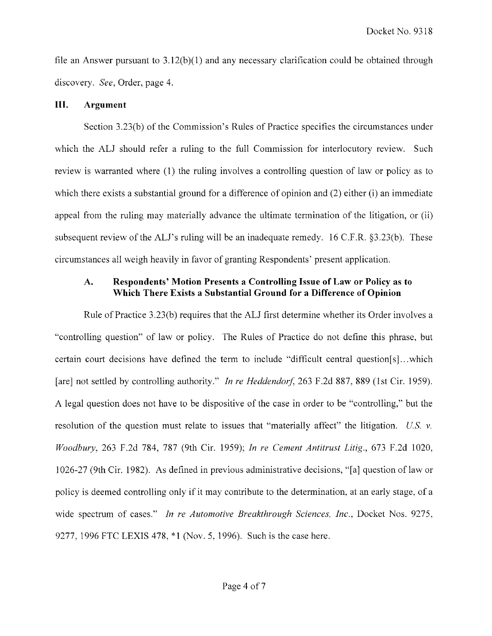file an Answer pursuant to  $3.12(b)(1)$  and any necessary clarification could be obtained through discovery. *See,* Order, page 4.

#### **111. Argument**

Section 3.23(b) of the Commission's Rules of Practice specifies the circumstances under which the ALJ should refer a ruling to the full Commission for interlocutory review. Such review is warranted where (1) the ruling involves a controlling question of law or policy as to which there exists a substantial ground for a difference of opinion and (2) either (i) an immediate appeal from the ruling may materially advance the ultimate termination of the litigation. or (ii) subsequent review of the ALJ's ruling will be an inadequate remedy. 16 C.F.R. §3.23(b). These circumstances all weigh heavily in favor of granting Respondents' present application.

# **A. Respondents' Motion Presents a Controlling Issue of Law or Policy as to Which There Exists a Substantial Ground for a Difference of Opinion**

Rule of Practice 3.23(b) requires that the ALJ first determine whether its Order involves a "controlling question" of law or policy. The Rules of Practice do not define this phrase, but certain court decisions have defined the term to include "difficult central question[s]. . .which [are] not settled by controlling authority." *In re Heddendorf*, 263 F.2d 887, 889 (1st Cir. 1959). A legal question does not have to be dispositive of the case in order to be "controlling," but the resolution of the question must relate to issues that "materially affect" the litigation. *US v. Woodbury,* 263 F.2d 784, 787 (9th Cir. 1959); *In re Cemenl Antitrust Litig.,* 673 F.2d 1020, 1026-27 (9th Cir. 1982). As defined in previous administrative decisions, "[a] question of law or policy is deemed controlling only if it may contribute to the determination: at an early stage, of a wide spectrum of cases." *In re Automotive Breakthrough Sciences, Inc.*, Docket Nos. 9275, 9277, 1996 FTC LEXlS 478, "1 (Nov. 5, 1996). Such is the case here.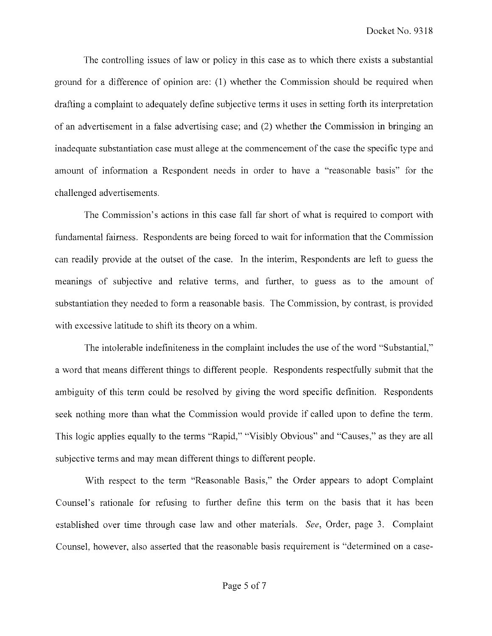The controlling issues of law or policy in this case as to which there exists a substantial ground for a difference of opinion are: (1) whether the Commission should be required when drafting a complaint to adequately define subjective terms it uses in setting forth its interpretation of an advertisement in a false advertising case; and (2) whether the Commission in bringing an inadequate substantiation case must allege at the commencement of the case the specific type and amount of information a Respondent needs in order to have a "reasonable basis" for the challenged advertisements.

The Commission's actions in this case fall far short of what is required to comport with fundamental fairness. Respondents are being forced to wait for information that the Commission can readily provide at the outset of the case. In the interim, Respondents are left to guess the meanings of subjective and relative terms, and further, to guess as to the amount of substantiation they needed to form a reasonable basis. The Commission, by contrast, is provided with excessive latitude to shift its theory on a whim.

The intolerable indefiniteness in the complaint includes the use of the word "Substantial," a word that means different things to different people. Respondents respectfully submit that the ambiguity of this term could be resolved by giving the word specific definition. Respondents seek nothing more than what the Commission would provide if called upon to define the term. This logic applies equally to the terms "Rapid," "Visibly Obvious" and "Causes," as they are all subjective terms and may mean different things to different people.

With respect to the term "Reasonable Basis," the Order appears to adopt Complaint Counsel's rationale for refusing to further define this term on the basis that it has been established over time through case law and other materials. *See,* Order, page 3. Complaint Counsel, however, also asserted that the reasonable basis requirement is "detem~ined on a case-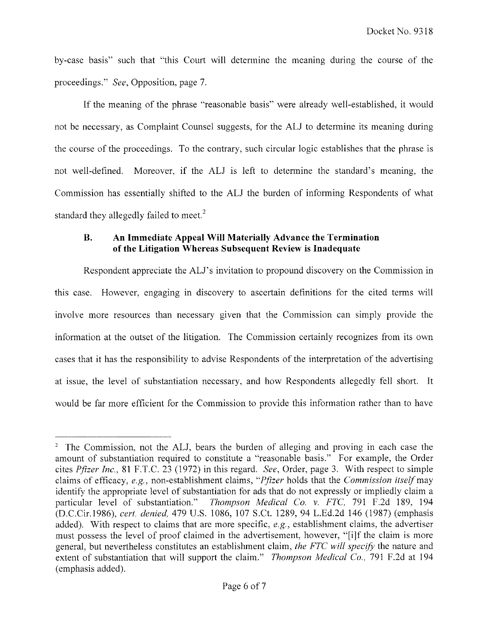by-case basis" such that "this Court will determine the meaning during the course of the proceedings." *See,* Opposition, page 7.

If the meaning of the phrase "reasonable basis" were already well-established, it would not be necessary, as Complaint Counsel suggests, for the ALJ to determine its meaning during the course of the proceedings. To the contrary, such circular logic establishes that the phrase is not well-defined. Moreover, if the ALJ is lefi to determine the standard's meaning, the Commission has essentially shifted to the ALJ the burden of informing Respondents of what standard they allegedly failed to meet.<sup>2</sup>

### **B. An Immediate Appeal Will Materially Advance the Termination of the Litigation Whereas Subsequent Review is Inadequate**

Respondent appreciate the ALJ's invitation to propound discovery on the Commission in this case. However, engaging in discovery to ascertain definitions for the cited terms will involve more resources than necessary given that the Commission can simply provide the information at the outset of the litigation. The Commission certainly recognizes from its own cases that it has the responsibility to advise Respondents of the interpretation of the advertising at issue, the level of substantiation necessary, and how Respondents allegedly fell short. It would be far more efficient for the Commission to provide this information rather than to have

<sup>&</sup>lt;sup>2</sup> The Commission, not the ALJ, bears the burden of alleging and proving in each case the amount of substantiation required to constitute a "reasonable basis." For example, the Order cites *Pfizer Inc.,* 81 F.T.C. 23 (1972) in this regard. *See,* Order, page 3. With respect to simple claims of efficacy, *e.g.,* non-establishment claims, *"Pfier* holds that the *Commission* itselfmay identify the appropriate level of substantiation for ads that do not expressly or impliedly claim a particular level of substantiation." *Thompson Medical Co.* v. *FTC,* 791 F.2d 189, 194 (D.C.Cir.1986), *cevt. denied,* 479 *U.S.* 1086, 107 S.Ct. 1289, 94 L.Ed.2d 146 (1987) (emphasis added). With respect to claims that are more specific, *e.g,* establishment claims, the advertiser must possess the level of proof claimed in the advertisement, however, "[ilf the claim is more general, but nevertheless constitutes an establishment claim, *the FTC will specify* the nature and extent of substantiation that will support the claim." *Thompson Medical Co.,* 791 F.2d at 194 (emphasis added).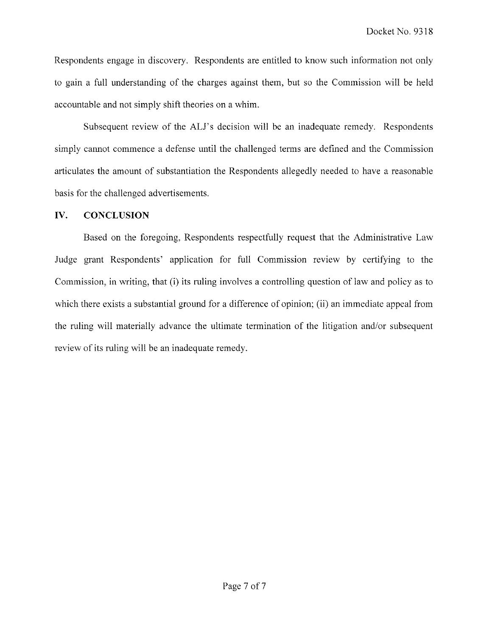Respondents engage in discovery. Respondents are entitled to know such information not only to gain a full understanding of the charges against them, but so the Commission will be held accountable and not simply shift theories on a whim.

Subsequent review of the ALJ's decision will be an inadequate remedy. Respondents simply cannot commence a defense until the challenged terms are defined and the Commission articulates the amount of substantiation the Respondents allegedly needed to have a reasonable basis for the challenged advertisements.

## **1V.** CONCLUSION

Based on the foregoing, Respondents respectfully request that the Administrative Law Judge grant Respondents' application for full Commission review by certifying to the Commission, in writing, that (i) its ruling involves a controlling question of law and policy as to which there exists a substantial ground for a difference of opinion; (ii) an immediate appeal from the ruling will materially advance the ultimate termination of the litigation and/or subsequent review of its ruling will be an inadequate remedy.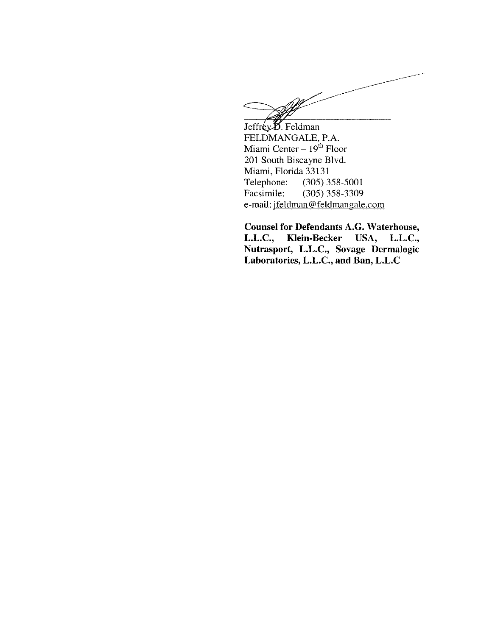Jeffrey B. Feldman FELDMANGALE, P.A. Miami Center  $-19^{th}$  Floor 201 South Biscayne Blvd. Miami, Florida 33131<br>Telephone: (305) 3 Telephone: (305) 358-5001<br>Facsimile: (305) 358-3309 (305) 358-3309 e-mail: jfeldman@feldmangale.com

**Counsel for Defendants A.G. Waterhouse, L.L.C., Mein-Becker USA, L.L.C., Nutrasport, L.L.C., Sovage Dermalogic Laboratories, L.L.C., and Ban, L.L.C**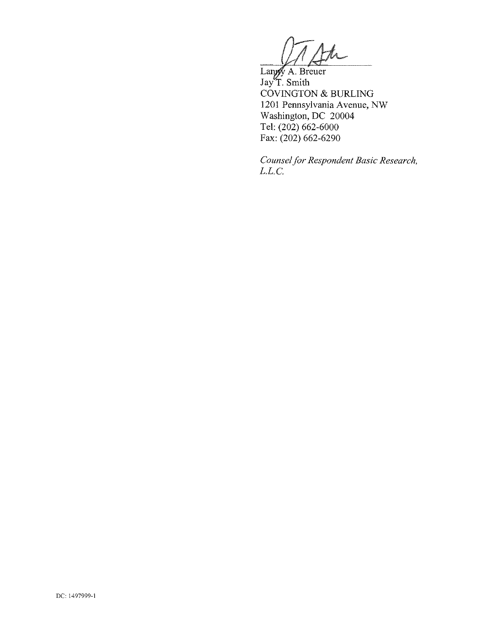$\hbar$ 

Langy A. Breuer<br>Jay T. Smith COVINGTON & BURLING 1201 Pennsylvania Avenue, NW Washington, DC 20004 Tel: (202) 662-6000 Fax: (202) 662-6290

*Counsel for Respondent Basic Research, L.L.C.*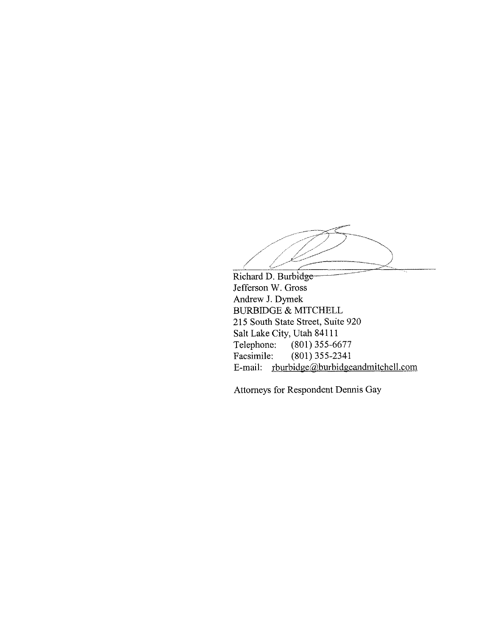Richard D. Burbidge Jefferson W. Gross Andrew **J.** Dymek BURBIDGE & MITCHELL 215 South State Street, Suite 920 Salt Lake City, Utah 84111<br>Telephone: (801) 355-66  $(801)$  355-6677 Facsimile: (801) 355-2341 E-mail: rburbidge@burbidgeandmitchell.com

Attorneys for Respondent Dennis Gay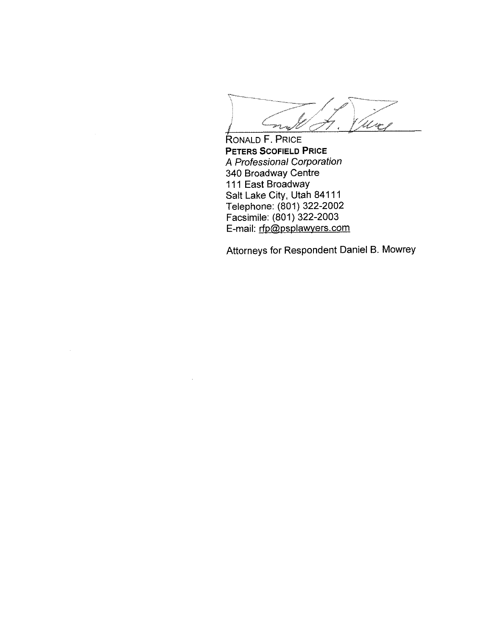Ure j  $r_{\rm{esc}}$ 

**RONALD F. PRICE PETERS SCOFIELD PRICE A** Professional Corporation 340 Broadway Centre 111 East Broadway Salt Lake City, Utah 84111 Telephone: (801) 322-2002 Facsimile: (801) 322-2003 E-mail: <u>rfp@psplawyers.com</u>

Attorneys for Respondent Daniel B. Mowrey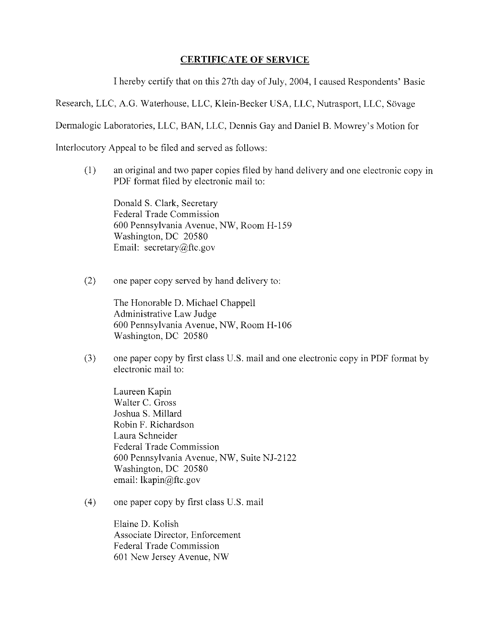# **CERTIFICATE OF SERVICE**

I hereby certify that on this 27th day of July, 2004, I caused Respondents' Basic

Research, LLC, A.G. Waterhouse, LLC, Klein-Becker USA, LLC, Nutrasport, LLC, Sövage

Dermalogic Laboratories, LLC; BAN, LLC, Dennis Gay and Daniel B. Mowrey's Motion for

Interlocutory Appeal to be filed and served as follows:

(1) an original and two paper copies filed by hand delivery and one electronic copy in PDF format filed by electronic mail to:

Donald S. Clark, Secretary Federal Trade Commission 600 Pennsylvania Avenue, NW, Room H-159 Washington, DC 20580 Email: secretary@ftc.gov

(2) one paper copy served by hand delivery to:

The Honorable D. Michael Chappell Administrative Law Judge 600 Pennsylvania Avenue, NW, Room H-106 Washington, DC 20580

(3) one paper copy by first class U.S. mail and one electronic copy in PDF format by electronic mail to:

Laureen Kapin Walter C. Gross Joshua S. Millard Robin F. Richardson Laura Schneider Federal Trade Commission 600 Pennsylvania Avenue. NW, Suite NJ-2122 Washington, DC 20580 email: Ikapin@ftc.gov

(4) one paper copy by first class U.S. mail

Elaine D. Kolish Associate Director, Enforcement Federal Trade Commission 601 New Jersey Avenue, NW